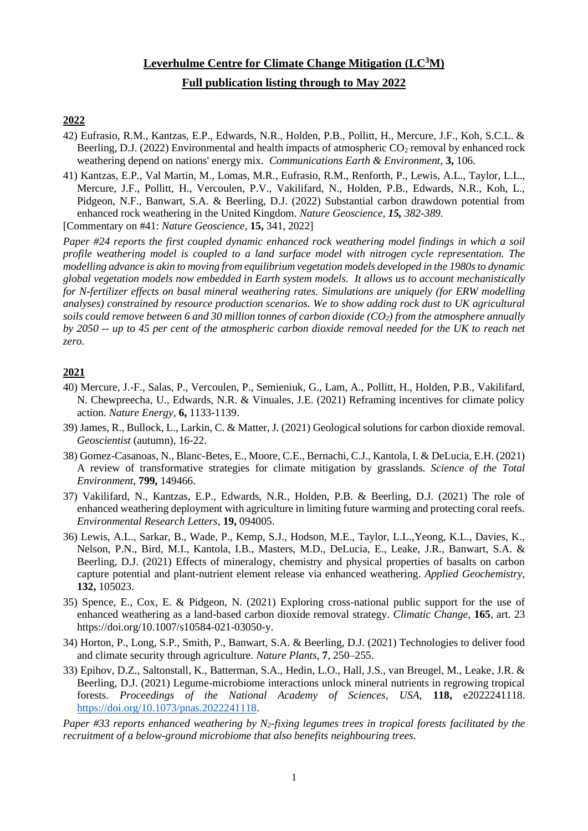# **Leverhulme Centre for Climate Change Mitigation (LC<sup>3</sup>M) Full publication listing through to May 2022**

## **2022**

- 42) Eufrasio, R.M., Kantzas, E.P., Edwards, N.R., Holden, P.B., Pollitt, H., Mercure, J.F., Koh, S.C.L. & Beerling, D.J. (2022) Environmental and health impacts of atmospheric  $CO_2$  removal by enhanced rock weathering depend on nations' energy mix. *Communications Earth & Environment*, **3,** 106.
- 41) Kantzas, E.P., Val Martin, M., Lomas, M.R., Eufrasio, R.M., Renforth, P., Lewis, A.L., Taylor, L.L., Mercure, J.F., Pollitt, H., Vercoulen, P.V., Vakilifard, N., Holden, P.B., Edwards, N.R., Koh, L., Pidgeon, N.F., Banwart, S.A. & Beerling, D.J. (2022) Substantial carbon drawdown potential from enhanced rock weathering in the United Kingdom. *Nature Geoscience, 15, 382-389.*

[Commentary on #41: *Nature Geoscience*, **15,** 341, 2022]

*Paper #24 reports the first coupled dynamic enhanced rock weathering model findings in which a soil profile weathering model is coupled to a land surface model with nitrogen cycle representation. The modelling advance is akin to moving from equilibrium vegetation models developed in the 1980s to dynamic global vegetation models now embedded in Earth system models. It allows us to account mechanistically for N-fertilizer effects on basal mineral weathering rates. Simulations are uniquely (for ERW modelling analyses) constrained by resource production scenarios. We to show adding rock dust to UK agricultural soils could remove between 6 and 30 million tonnes of carbon dioxide (CO2) from the atmosphere annually by 2050* -- *up to 45 per cent of the atmospheric carbon dioxide removal needed for the UK to reach net zero.*

### **2021**

- 40) Mercure, J.-F., Salas, P., Vercoulen, P., Semieniuk, G., Lam, A., Pollitt, H., Holden, P.B., Vakilifard, N. Chewpreecha, U., Edwards, N.R. & Vinuales, J.E. (2021) Reframing incentives for climate policy action. *Nature Energy*, **6,** 1133-1139.
- 39) James, R., Bullock, L., Larkin, C. & Matter, J. (2021) Geological solutions for carbon dioxide removal. *Geoscientist* (autumn), 16-22.
- 38) Gomez-Casanoas, N., Blanc-Betes, E., Moore, C.E., Bernachi, C.J., Kantola, I. & DeLucia, E.H. (2021) A review of transformative strategies for climate mitigation by grasslands. *Science of the Total Environment*, **799,** 149466.
- 37) Vakilifard, N., Kantzas, E.P., Edwards, N.R., Holden, P.B. & Beerling, D.J. (2021) The role of enhanced weathering deployment with agriculture in limiting future warming and protecting coral reefs. *Environmental Research Letters*, **19,** 094005.
- 36) Lewis, A.L., Sarkar, B., Wade, P., Kemp, S.J., Hodson, M.E., Taylor, L.L.,Yeong, K.L., Davies, K., Nelson, P.N., Bird, M.I., Kantola, I.B., Masters, M.D., DeLucia, E., Leake, J.R., Banwart, S.A. & Beerling, D.J. (2021) Effects of mineralogy, chemistry and physical properties of basalts on carbon capture potential and plant-nutrient element release via enhanced weathering. *Applied Geochemistry*, **132,** 105023.
- 35) Spence, E., Cox, E. & Pidgeon, N. (2021) Exploring cross-national public support for the use of enhanced weathering as a land-based carbon dioxide removal strategy. *Climatic Change*, **165**, art. 23 https://doi.org/10.1007/s10584-021-03050-y.
- 34) Horton, P., Long, S.P., Smith, P., Banwart, S.A. & Beerling, D.J. (2021) Technologies to deliver food and climate security through agriculture. *Nature Plants*, **7**, 250–255.
- 33) Epihov, D.Z., Saltonstall, K., Batterman, S.A., Hedin, L.O., Hall, J.S., van Breugel, M., Leake, J.R. & Beerling, D.J. (2021) Legume-microbiome interactions unlock mineral nutrients in regrowing tropical forests. *Proceedings of the National Academy of Sciences, USA,* **118,** e2022241118. [https://doi.org/10.1073/pnas.2022241118.](https://doi.org/10.1073/pnas.2022241118)
- *Paper #33 reports enhanced weathering by N2-fixing legumes trees in tropical forests facilitated by the recruitment of a below-ground microbiome that also benefits neighbouring trees*.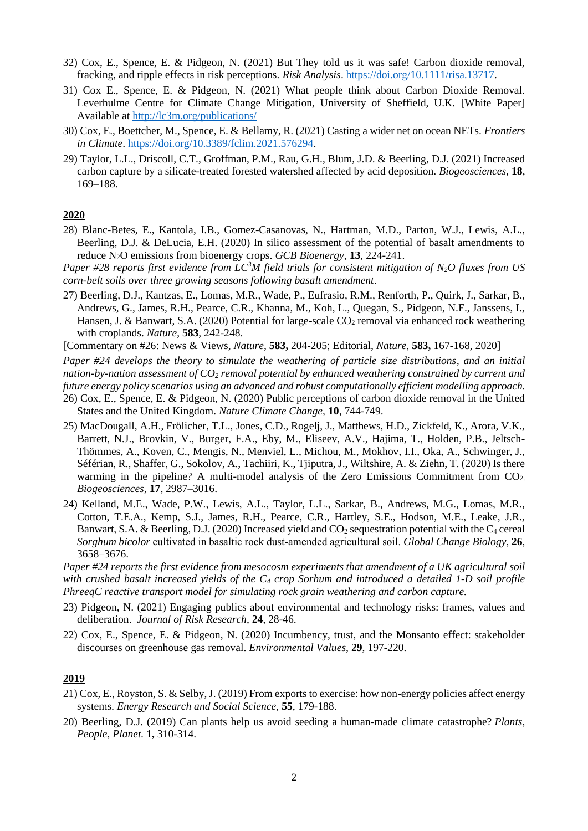- 32) Cox, E., Spence, E. & Pidgeon, N. (2021) But They told us it was safe! Carbon dioxide removal, fracking, and ripple effects in risk perceptions. *Risk Analysis*. [https://doi.org/10.1111/risa.13717.](https://doi.org/10.1111/risa.13717)
- 31) Cox E., Spence, E. & Pidgeon, N. (2021) What people think about Carbon Dioxide Removal. Leverhulme Centre for Climate Change Mitigation, University of Sheffield, U.K. [White Paper] Available at<http://lc3m.org/publications/>
- 30) Cox, E., Boettcher, M., Spence, E. & Bellamy, R. (2021) Casting a wider net on ocean NETs. *Frontiers in Climate*. [https://doi.org/10.3389/fclim.2021.576294.](https://doi.org/10.3389/fclim.2021.576294)
- 29) Taylor, L.L., Driscoll, C.T., Groffman, P.M., Rau, G.H., Blum, J.D. & Beerling, D.J. (2021) Increased carbon capture by a silicate-treated forested watershed affected by acid deposition. *Biogeosciences*, **18**, 169–188.

#### **2020**

- 28) Blanc-Betes, E., Kantola, I.B., Gomez-Casanovas, N., Hartman, M.D., Parton, W.J., Lewis, A.L., Beerling, D.J. & DeLucia, E.H. (2020) In silico assessment of the potential of basalt amendments to reduce N2O emissions from bioenergy crops. *GCB Bioenergy*, **13**, 224-241.
- *Paper #28 reports first evidence from LC<sup>3</sup>M field trials for consistent mitigation of N2O fluxes from US corn-belt soils over three growing seasons following basalt amendment*.
- 27) Beerling, D.J., Kantzas, E., Lomas, M.R., Wade, P., Eufrasio, R.M., Renforth, P., Quirk, J., Sarkar, B., Andrews, G., James, R.H., Pearce, C.R., Khanna, M., Koh, L., Quegan, S., Pidgeon, N.F., Janssens, I., Hansen, J. & Banwart, S.A. (2020) Potential for large-scale  $CO<sub>2</sub>$  removal via enhanced rock weathering with croplands. *Nature*, **583**, 242-248.

[Commentary on #26: News & Views, *Nature*, **583,** 204-205; Editorial, *Nature*, **583,** 167-168, 2020]

*Paper #24 develops the theory to simulate the weathering of particle size distributions, and an initial nation-by-nation assessment of CO<sup>2</sup> removal potential by enhanced weathering constrained by current and future energy policy scenarios using an advanced and robust computationally efficient modelling approach.* 26) Cox, E., Spence, E. & Pidgeon, N. (2020) Public perceptions of carbon dioxide removal in the United

- States and the United Kingdom. *Nature Climate Change,* **10**, 744-749.
- 25) MacDougall, A.H., Frölicher, T.L., Jones, C.D., Rogelj, J., Matthews, H.D., Zickfeld, K., Arora, V.K., Barrett, N.J., Brovkin, V., Burger, F.A., Eby, M., Eliseev, A.V., Hajima, T., Holden, P.B., Jeltsch-Thömmes, A., Koven, C., Mengis, N., Menviel, L., Michou, M., Mokhov, I.I., Oka, A., Schwinger, J., Séférian, R., Shaffer, G., Sokolov, A., Tachiiri, K., Tjiputra, J., Wiltshire, A. & Ziehn, T. (2020) Is there warming in the pipeline? A multi-model analysis of the Zero Emissions Commitment from  $CO<sub>2</sub>$ . *Biogeosciences*, **17**, 2987–3016.
- 24) Kelland, M.E., Wade, P.W., Lewis, A.L., Taylor, L.L., Sarkar, B., Andrews, M.G., Lomas, M.R., Cotton, T.E.A., Kemp, S.J., James, R.H., Pearce, C.R., Hartley, S.E., Hodson, M.E., Leake, J.R., Banwart, S.A. & Beerling, D.J. (2020) Increased yield and  $CO<sub>2</sub>$  sequestration potential with the  $C<sub>4</sub>$  cereal *Sorghum bicolor* cultivated in basaltic rock dust‐amended agricultural soil. *Global Change Biology*, **26**, 3658–3676.

*Paper #24 reports the first evidence from mesocosm experiments that amendment of a UK agricultural soil with crushed basalt increased yields of the C<sup>4</sup> crop Sorhum and introduced a detailed 1-D soil profile PhreeqC reactive transport model for simulating rock grain weathering and carbon capture.*

- 23) Pidgeon, N. (2021) Engaging publics about environmental and technology risks: frames, values and deliberation. *Journal of Risk Research*, **24**, 28-46.
- 22) Cox, E., Spence, E. & Pidgeon, N. (2020) Incumbency, trust, and the Monsanto effect: stakeholder discourses on greenhouse gas removal. *Environmental Values*, **29**, 197-220.

## **2019**

- 21) Cox, E., Royston, S. & Selby, J. (2019) From exports to exercise: how non-energy policies affect energy systems. *Energy Research and Social Science*, **55**, 179-188.
- 20) Beerling, D.J. (2019) Can plants help us avoid seeding a human-made climate catastrophe? *Plants, People, Planet.* **1,** 310-314.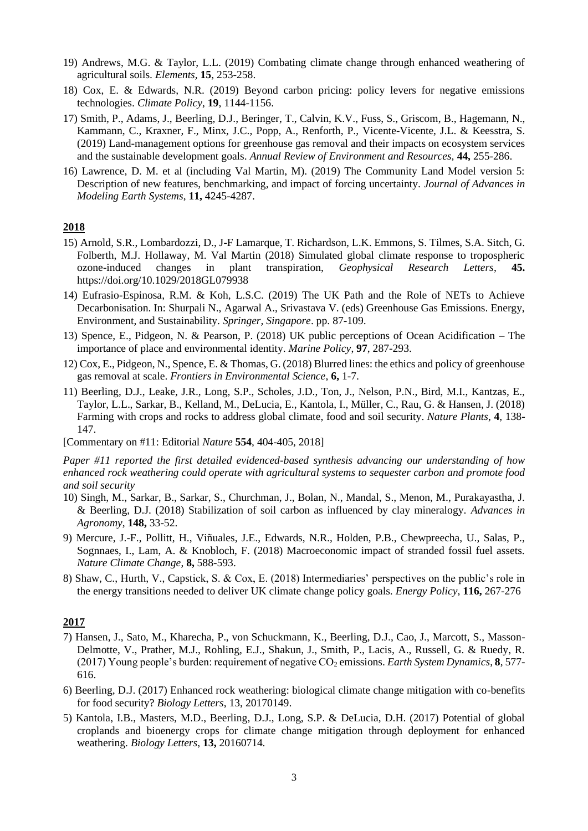- 19) Andrews, M.G. & Taylor, L.L. (2019) Combating climate change through enhanced weathering of agricultural soils. *Elements,* **15**, 253-258.
- 18) Cox, E. & Edwards, N.R. (2019) Beyond carbon pricing: policy levers for negative emissions technologies. *Climate Policy*, **19**, 1144-1156.
- 17) Smith, P., Adams, J., Beerling, D.J., Beringer, T., Calvin, K.V., Fuss, S., Griscom, B., Hagemann, N., Kammann, C., Kraxner, F., Minx, J.C., Popp, A., Renforth, P., Vicente-Vicente, J.L. & Keesstra, S. (2019) Land-management options for greenhouse gas removal and their impacts on ecosystem services and the sustainable development goals. *Annual Review of Environment and Resources,* **44,** 255-286.
- 16) Lawrence, D. M. et al (including Val Martin, M). (2019) The Community Land Model version 5: Description of new features, benchmarking, and impact of forcing uncertainty. *Journal of Advances in Modeling Earth Systems*, **11,** 4245-4287.

#### **2018**

- 15) Arnold, S.R., Lombardozzi, D., J-F Lamarque, T. Richardson, L.K. Emmons, S. Tilmes, S.A. Sitch, G. Folberth, M.J. Hollaway, M. Val Martin (2018) Simulated global climate response to tropospheric ozone-induced changes in plant transpiration, *Geophysical Research Letters*, **45.** https://doi.org/10.1029/2018GL079938
- 14) Eufrasio-Espinosa, R.M. & Koh, L.S.C. (2019) The UK Path and the Role of NETs to Achieve Decarbonisation. In: Shurpali N., Agarwal A., Srivastava V. (eds) Greenhouse Gas Emissions. Energy, Environment, and Sustainability. *Springer, Singapore*. pp. 87-109.
- 13) Spence, E., Pidgeon, N. & Pearson, P. (2018) UK public perceptions of Ocean Acidification The importance of place and environmental identity. *Marine Policy*, **97**, 287-293.
- 12) Cox, E., Pidgeon, N., Spence, E. & Thomas, G. (2018) Blurred lines: the ethics and policy of greenhouse gas removal at scale. *Frontiers in Environmental Science*, **6,** 1-7.
- 11) Beerling, D.J., Leake, J.R., Long, S.P., Scholes, J.D., Ton, J., Nelson, P.N., Bird, M.I., Kantzas, E., Taylor, L.L., Sarkar, B., Kelland, M., DeLucia, E., Kantola, I., Müller, C., Rau, G. & Hansen, J. (2018) Farming with crops and rocks to address global climate, food and soil security. *Nature Plants*, **4**, 138- 147.

[Commentary on #11: Editorial *Nature* **554**, 404-405, 2018]

*Paper #11 reported the first detailed evidenced-based synthesis advancing our understanding of how enhanced rock weathering could operate with agricultural systems to sequester carbon and promote food and soil security*

- 10) Singh, M., Sarkar, B., Sarkar, S., Churchman, J., Bolan, N., Mandal, S., Menon, M., Purakayastha, J. & Beerling, D.J. (2018) Stabilization of soil carbon as influenced by clay mineralogy. *Advances in Agronomy*, **148,** 33-52.
- 9) Mercure, J.-F., Pollitt, H., Viñuales, J.E., Edwards, N.R., Holden, P.B., Chewpreecha, U., Salas, P., Sognnaes, I., Lam, A. & Knobloch, F. (2018) Macroeconomic impact of stranded fossil fuel assets. *Nature Climate Change*, **8,** 588-593.
- 8) Shaw, C., Hurth, V., Capstick, S. & Cox, E. (2018) Intermediaries' perspectives on the public's role in the energy transitions needed to deliver UK climate change policy goals. *Energy Policy*, **116,** 267-276

#### **2017**

- 7) Hansen, J., Sato, M., Kharecha, P., von Schuckmann, K., Beerling, D.J., Cao, J., Marcott, S., Masson-Delmotte, V., Prather, M.J., Rohling, E.J., Shakun, J., Smith, P., Lacis, A., Russell, G. & Ruedy, R. (2017) Young people's burden: requirement of negative CO<sup>2</sup> emissions. *Earth System Dynamics*, **8**, 577- 616.
- 6) Beerling, D.J. (2017) Enhanced rock weathering: biological climate change mitigation with co-benefits for food security? *Biology Letters*, 13, 20170149.
- 5) Kantola, I.B., Masters, M.D., Beerling, D.J., Long, S.P. & DeLucia, D.H. (2017) Potential of global croplands and bioenergy crops for climate change mitigation through deployment for enhanced weathering. *Biology Letters*, **13,** 20160714*.*